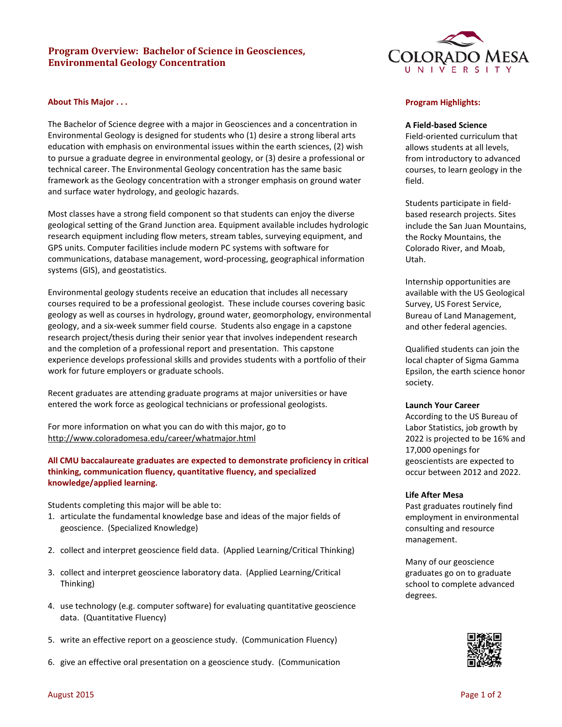# **Program Overview: Bachelor of Science in Geosciences, Environmental Geology Concentration**

# **About This Major . . .**

The Bachelor of Science degree with a major in Geosciences and a concentration in Environmental Geology is designed for students who (1) desire a strong liberal arts education with emphasis on environmental issues within the earth sciences, (2) wish to pursue a graduate degree in environmental geology, or (3) desire a professional or technical career. The Environmental Geology concentration has the same basic framework as the Geology concentration with a stronger emphasis on ground water and surface water hydrology, and geologic hazards.

Most classes have a strong field component so that students can enjoy the diverse geological setting of the Grand Junction area. Equipment available includes hydrologic research equipment including flow meters, stream tables, surveying equipment, and GPS units. Computer facilities include modern PC systems with software for communications, database management, word-processing, geographical information systems (GIS), and geostatistics.

Environmental geology students receive an education that includes all necessary courses required to be a professional geologist. These include courses covering basic geology as well as courses in hydrology, ground water, geomorphology, environmental geology, and a six-week summer field course. Students also engage in a capstone research project/thesis during their senior year that involves independent research and the completion of a professional report and presentation. This capstone experience develops professional skills and provides students with a portfolio of their work for future employers or graduate schools.

Recent graduates are attending graduate programs at major universities or have entered the work force as geological technicians or professional geologists.

For more information on what you can do with this major, go to <http://www.coloradomesa.edu/career/whatmajor.html>

**All CMU baccalaureate graduates are expected to demonstrate proficiency in critical thinking, communication fluency, quantitative fluency, and specialized knowledge/applied learning.** 

Students completing this major will be able to:

- 1. articulate the fundamental knowledge base and ideas of the major fields of geoscience. (Specialized Knowledge)
- 2. collect and interpret geoscience field data. (Applied Learning/Critical Thinking)
- 3. collect and interpret geoscience laboratory data. (Applied Learning/Critical Thinking)
- 4. use technology (e.g. computer software) for evaluating quantitative geoscience data. (Quantitative Fluency)
- 5. write an effective report on a geoscience study. (Communication Fluency)
- 6. give an effective oral presentation on a geoscience study. (Communication



### **Program Highlights:**

#### **A Field-based Science**

Field-oriented curriculum that allows students at all levels, from introductory to advanced courses, to learn geology in the field.

Students participate in fieldbased research projects. Sites include the San Juan Mountains, the Rocky Mountains, the Colorado River, and Moab, Utah.

Internship opportunities are available with the US Geological Survey, US Forest Service, Bureau of Land Management, and other federal agencies.

Qualified students can join the local chapter of Sigma Gamma Epsilon, the earth science honor society.

#### **Launch Your Career**

According to the US Bureau of Labor Statistics, job growth by 2022 is projected to be 16% and 17,000 openings for geoscientists are expected to occur between 2012 and 2022.

#### **Life After Mesa**

Past graduates routinely find employment in environmental consulting and resource management.

Many of our geoscience graduates go on to graduate school to complete advanced degrees.